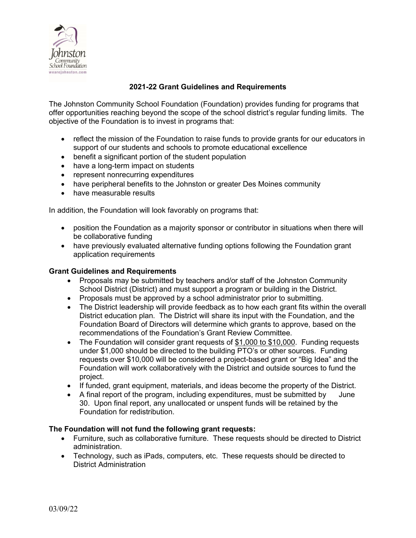

# **2021-22 Grant Guidelines and Requirements**

The Johnston Community School Foundation (Foundation) provides funding for programs that offer opportunities reaching beyond the scope of the school district's regular funding limits. The objective of the Foundation is to invest in programs that:

- reflect the mission of the Foundation to raise funds to provide grants for our educators in support of our students and schools to promote educational excellence
- benefit a significant portion of the student population
- have a long-term impact on students
- represent nonrecurring expenditures
- have peripheral benefits to the Johnston or greater Des Moines community
- have measurable results

In addition, the Foundation will look favorably on programs that:

- position the Foundation as a majority sponsor or contributor in situations when there will be collaborative funding
- have previously evaluated alternative funding options following the Foundation grant application requirements

#### **Grant Guidelines and Requirements**

- Proposals may be submitted by teachers and/or staff of the Johnston Community School District (District) and must support a program or building in the District.
- Proposals must be approved by a school administrator prior to submitting.
- The District leadership will provide feedback as to how each grant fits within the overall District education plan. The District will share its input with the Foundation, and the Foundation Board of Directors will determine which grants to approve, based on the recommendations of the Foundation's Grant Review Committee.
- The Foundation will consider grant requests of \$1,000 to \$10,000. Funding requests under \$1,000 should be directed to the building PTO's or other sources. Funding requests over \$10,000 will be considered a project-based grant or "Big Idea" and the Foundation will work collaboratively with the District and outside sources to fund the project.
- If funded, grant equipment, materials, and ideas become the property of the District.
- A final report of the program, including expenditures, must be submitted by June 30. Upon final report, any unallocated or unspent funds will be retained by the Foundation for redistribution.

### **The Foundation will not fund the following grant requests:**

- Furniture, such as collaborative furniture. These requests should be directed to District administration.
- Technology, such as iPads, computers, etc. These requests should be directed to District Administration